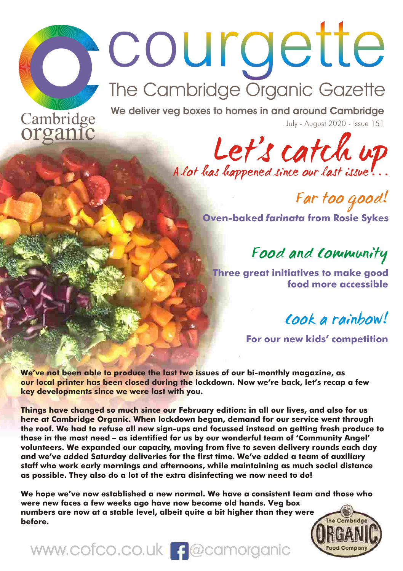# Court Cambridge<br>
The Cambridge Organic Gazette<br>
Cambridge We deliver veg boxes to homes in and around Cambridge

**Cambridge We deliver veg boxes to homes in and around Cambridge July - August 2020 - Issue 151** 



Far too good! **Oven-baked** *farinata* **from Rosie Sykes**

Food and Community

**Three great initiatives to make good food more accessible**

Cook a rainbow!

**For our new kids' competition**

**We've not been able to produce the last two issues of our bi-monthly magazine, as our local printer has been closed during the lockdown. Now we're back, let's recap a few key developments since we were last with you.**

**Things have changed so much since our February edition: in all our lives, and also for us here at Cambridge Organic. When lockdown began, demand for our service went through the roof. We had to refuse all new sign-ups and focussed instead on getting fresh produce to those in the most need – as identified for us by our wonderful team of 'Community Angel' volunteers. We expanded our capacity, moving from five to seven delivery rounds each day and we've added Saturday deliveries for the first time. We've added a team of auxiliary staff who work early mornings and afternoons, while maintaining as much social distance as possible. They also do a lot of the extra disinfecting we now need to do!**

**We hope we've now established a new normal. We have a consistent team and those who were new faces a few weeks ago have now become old hands. Veg box numbers are now at a stable level, albeit quite a bit higher than they were**  The Cambridge **before.**



www.cofco.co.uk | f @camorganic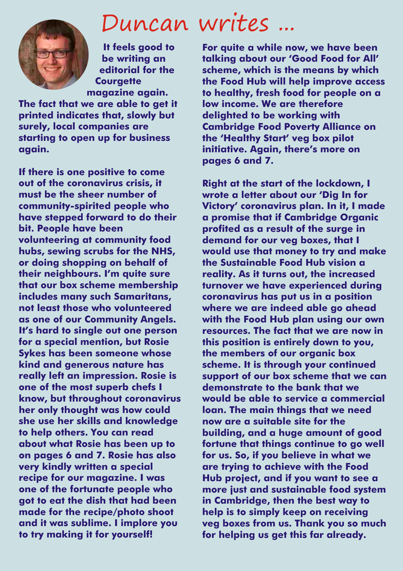

**It feels good to be writing an editorial for the Courgette magazine again.** 

**The fact that we are able to get it printed indicates that, slowly but surely, local companies are starting to open up for business again.**

**If there is one positive to come out of the coronavirus crisis, it must be the sheer number of community-spirited people who have stepped forward to do their bit. People have been volunteering at community food hubs, sewing scrubs for the NHS, or doing shopping on behalf of their neighbours. I'm quite sure that our box scheme membership includes many such Samaritans, not least those who volunteered as one of our Community Angels. It's hard to single out one person for a special mention, but Rosie Sykes has been someone whose kind and generous nature has really left an impression. Rosie is one of the most superb chefs I know, but throughout coronavirus her only thought was how could she use her skills and knowledge to help others. You can read about what Rosie has been up to on pages 6 and 7. Rosie has also very kindly written a special recipe for our magazine. I was one of the fortunate people who got to eat the dish that had been made for the recipe/photo shoot and it was sublime. I implore you to try making it for yourself!**

# Duncan writes ...

**For quite a while now, we have been talking about our 'Good Food for All' scheme, which is the means by which the Food Hub will help improve access to healthy, fresh food for people on a low income. We are therefore delighted to be working with Cambridge Food Poverty Alliance on the 'Healthy Start' veg box pilot initiative. Again, there's more on pages 6 and 7.**

**Right at the start of the lockdown, I wrote a letter about our 'Dig In for Victory' coronavirus plan. In it, I made a promise that if Cambridge Organic profited as a result of the surge in demand for our veg boxes, that I would use that money to try and make the Sustainable Food Hub vision a reality. As it turns out, the increased turnover we have experienced during coronavirus has put us in a position where we are indeed able go ahead with the Food Hub plan using our own resources. The fact that we are now in this position is entirely down to you, the members of our organic box scheme. It is through your continued support of our box scheme that we can demonstrate to the bank that we would be able to service a commercial loan. The main things that we need now are a suitable site for the building, and a huge amount of good fortune that things continue to go well for us. So, if you believe in what we are trying to achieve with the Food Hub project, and if you want to see a more just and sustainable food system in Cambridge, then the best way to help is to simply keep on receiving veg boxes from us. Thank you so much for helping us get this far already.**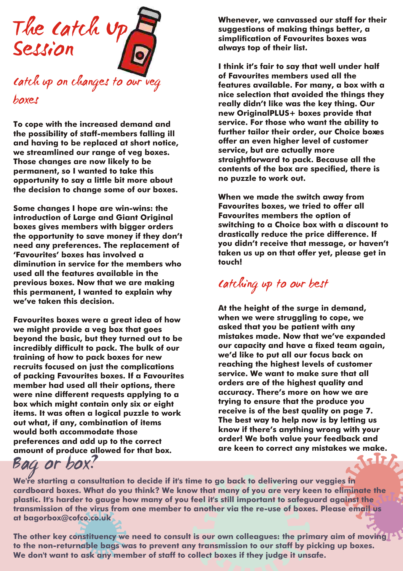

catch up on changes to our veg boxes

**further tailor their order, our Choice boxes the possibility of staff-members falling ill**  and having to be replaced at short notice, **offer an even higher level of c**<br>we streamlined our range of veg boxes **by a service, but are actually more** we streamlined our range of veg boxes. **Those changes are now likely to be straightforward to pack. Because all the**  permanent, so I wanted to take this **contents of the box are specified to the i**s the specified of the box are sp<br>connectunity to say a little hit more about a some puzzle to work out. opportunity to say a little bit more about **the decision to change some of our boxes.**

boxes gives members with bigger orders switching to a Choice box with a discount<br>the onnortunity to save money if they don't and algorizatically reduce the price difference. If need any preferences. The replacement of<br>'Favourites' boxes has involved a **diminution in service for the members who touch! used all the features available in the previous boxes. Now that we are making this permanent, I wanted to explain why we've taken this decision.**

Favourites boxes were a great idea of how **when we were struggling to cope, w**<br>we might provide a ven hox that goes **when** a sked that you be patient with any **we might provide a veg box that goes asked that you be patient with any beyond the basic, but they turned out to be mistakes made. Now that we've expanded**  incredibly difficult to pack. The bulk of our **capacity and have a fixed team a**<br>training of how to pack hoves for now **we**'d like to put all our focus back on **training of how to pack boxes for new like to put all our focus back on training of how to pack boxes for new li<br>In the complications of the complication of the packing the highest levels of customer reaching the highest levels of customer recruits focused on just the complications**  of packing Favourites boxes. If a Favourites service. We want to make sure that a<br>member had used all their ontions, there **some and services are of the highest quality** and **member had used all their options, there orders are of the highest quality and were nine different requests applying to a accuracy. There's more on how we are box which might contain only six or eight trying to ensure that the produce you**  items. It was often a logical puzzle to work **the best quality on page 7.**<br>out what, if any combination of items **the best way to help now is by letting** us out what, if any, combination of items<br>would both accommodate those **preferences and add up to the correct order! We both value your feedback and**  amount of produce allowed for that box.

Bag or box?

**Whenever, we canvassed our staff for their suggestions of making things better, a simplification of Favourites boxes was always top of their list.**

**I think it's fair to say that well under half of Favourites members used all the features available. For many, a box with a nice selection that avoided the things they really didn't like was the key thing. Our new OriginalPLUS+ boxes provide that To cope with the increased demand and service. For those who want the ability to** 

**When we made the switch away from Some changes I hope are win-wins: the Favourites boxes, we tried to offer all Favourites members the option of introduction of Large and Giant Original**  the opportunity to save money if they don't <sup>drastically reduce the price difference. If<br>the opportunity to save money if they contain the opportunity of the message, or haven't</sup> taken us up on that offer yet, please get in<br>touch!

# Catching up to our best

**At the height of the surge in demand,**  know if there's anything wrong with your<br>order! We both value your feedback and

**We're starting a consultation to decide if it's time to go back to delivering our veggies in cardboard boxes. What do you think? We know that many of you are very keen to eliminate the plastic. It's harder to gauge how many of you feel it's still important to safeguard against the transmission of the virus from one member to another via the re-use of boxes. Please email us at bagorbox@cofco.co.uk**

**The other key constituency we need to consult is our own colleagues: the primary aim of moving to the non-returnable bags was to prevent any transmission to our staff by picking up boxes. We don't want to ask any member of staff to collect boxes if they judge it unsafe.**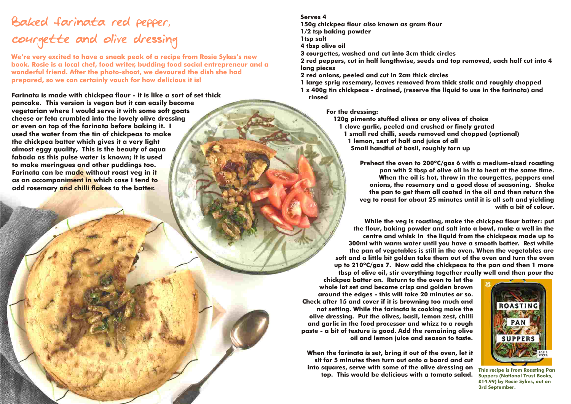# Baked farinata red pepper, courgette and olive dressing

**We're very excited to have a sneak peak of a recipe from Rosie Sykes's new book. Rosie is a local chef, food writer, budding food social entrepreneur and a wonderful friend. After the photo-shoot, we devoured the dish she had prepared, so we can certainly vouch for how delicious it is!**

**Farinata is made with chickpea flour - it is like a sort of set thick pancake. This version is vegan but it can easily become vegetarian where I would serve it with some soft goats cheese or feta crumbled into the lovely olive dressing or even on top of the farinata before baking it. I used the water from the tin of chickpeas to make the chickpea batter which gives it a very light almost eggy quality, This is the beauty of aqua fabada as this pulse water is known; it is used to make meringues and other puddings too. Farinata can be made without roast veg in it as an accompaniment in which case I tend to add rosemary and chilli flakes to the batter.** 

### **Serves 4**

**150g chickpea flour also known as gram flour**

**1/2 tsp baking powder**

**1tsp salt**

**4 tbsp olive oil**

**3 courgettes, washed and cut into 3cm thick circles**

**2 red peppers, cut in half lengthwise, seeds and top removed, each half cut into 4 long pieces**

**2 red onions, peeled and cut in 2cm thick circles**

**1 large sprig rosemary, leaves removed from thick stalk and roughly chopped 1 x 400g tin chickpeas - drained, (reserve the liquid to use in the farinata) and rinsed**

**For the dressing:**

**120g pimento stuffed olives or any olives of choice** 

- **1 clove garlic, peeled and crushed or finely grated**
	- **1 small red chilli, seeds removed and chopped (optional)**

**1 lemon, zest of half and juice of all**

**Small handful of basil, roughly torn up**

**Preheat the oven to 200ºC/gas 6 with a medium-sized roasting pan with 2 tbsp of olive oil in it to heat at the same time. When the oil is hot, throw in the courgettes, peppers and onions, the rosemary and a good dose of seasoning. Shake the pan to get them all coated in the oil and then return the veg to roast for about 25 minutes until it is all soft and yielding with a bit of colour.**

**While the veg is roasting, make the chickpea flour batter: put the flour, baking powder and salt into a bowl, make a well in the centre and whisk in the liquid from the chickpeas made up to 300ml with warm water until you have a smooth batter. Rest while the pan of vegetables is still in the oven. When the vegetables are soft and a little bit golden take them out of the oven and turn the oven up to 210ºC/gas 7. Now add the chickpeas to the pan and then 1 more tbsp of olive oil, stir everything together really well and then pour the** 

**chickpea batter on. Return to the oven to let the whole lot set and become crisp and golden brown around the edges - this will take 20 minutes or so. Check after 15 and cover if it is browning too much and not setting. While the farinata is cooking make the olive dressing. Put the olives, basil, lemon zest, chilli and garlic in the food processor and whizz to a rough paste - a bit of texture is good. Add the remaining olive oil and lemon juice and season to taste.**

**When the farinata is set, bring it out of the oven, let it sit for 5 minutes then turn out onto a board and cut into squares, serve with some of the olive dressing on top. This would be delicious with a tomato salad.**



**This recipe is from Roasting Pan Suppers (National Trust Books, £14.99) by Rosie Sykes, out on 3rd September.**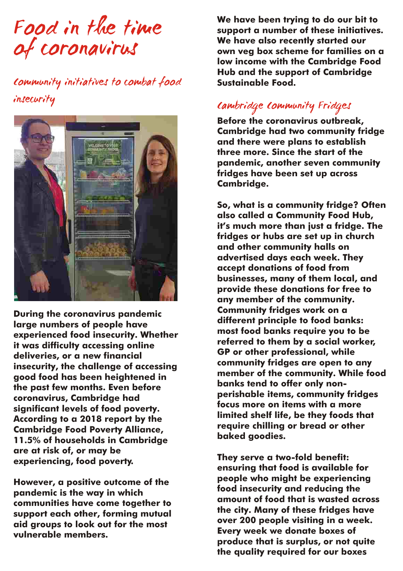Food in the time of coronavirus

# Community initiatives to combat food insecurity Cambridge Community Fridges



**are at risk of, or may be They serve a two-fold benefit: experiencing, food poverty.**

**We have been trying to do our bit to support a number of these initiatives. We have also recently started our own veg box scheme for families on a low income with the Cambridge Food Hub and the support of Cambridge Sustainable Food.**

**Before the coronavirus outbreak, Cambridge had two community fridge and there were plans to establish three more. Since the start of the pandemic, another seven community fridges have been set up across Cambridge.** 

**So, what is a community fridge? Often also called a Community Food Hub, it's much more than just a fridge. The fridges or hubs are set up in church and other community halls on advertised days each week. They accept donations of food from businesses, many of them local, and provide these donations for free to any member of the community.**  During the coronavirus pandemic<br>
large numbers of people have different principle to food banks:<br>
experienced food insecurity. Whether<br>
it was difficulty accessing online<br>
deliveries, or a new financial<br>
insecurity, the ch

**ensuring that food is available for**  However, a positive outcome of the pandemic is the way in which<br>pandemic is the way in which<br>communities have come together to<br>support each other, forming mutual<br>aid groups to look out for the most<br>vulnerable members.<br>Form **the quality required for our boxes**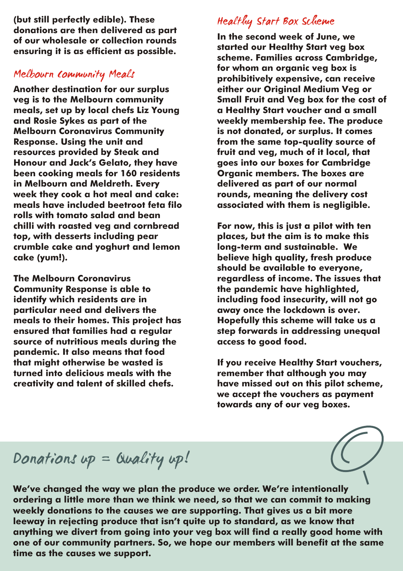**(but still perfectly edible). These** 

## Melbourn Community Meals

**Another destination for our surplus veg is to the Melbourn community Small Fruit and Veg box for the cost of meals, set up by local chefs Liz Young a Healthy Start voucher and a small and Rosie Sykes as part of the weekly membership fee. The produce Response. Using the unit and from the same top-quality source of resources provided by Steak and fruit and veg, much of it local, that Honour and Jack's Gelato, they have goes into our boxes for Cambridge been cooking meals for 160 residents Organic members. The boxes are**  in Melbourn and Meldreth. Every **come and the delivered as part of our normal**<br>week they cook a hot meal and cake: **we** rounds, meaning the delivery cost week they cook a hot meal and cake:<br>meals have included beetroot feta filo **rolls with tomato salad and bean chilli with roasted veg and cornbread For now, this is just a pilot with ten top, with desserts including pear places, but the aim is to make this**  crumble cake and yoghurt and lemon **cake (yum!). believe high quality, fresh produce** 

**Community Response is able to the pandemic have highlighted, identify which residents are in including food insecurity, will not go**  meals to their homes. This project has **ensured that families had a regular step forwards in addressing unequal source of nutritious meals during the access to good food. pandemic. It also means that food turned into delicious meals with the remember that although you may creativity and talent of skilled chefs. have missed out on this pilot scheme,** 

# Healthy Start Box Scheme

abitations are men activered as part<br>of our wholesale or collection rounds<br>ensuring it is as efficient as possible. The started our Healthy Start veg box<br>scheme. Families across Cambridae, **for whom an organic veg box is prohibitively expensive, can receive**  is not donated, or surplus. It comes **associated with them is nealiaible.** 

**should be available to everyone, The Melbourn Coronavirus regardless of income. The issues that**  away once the lockdown is over.<br>Hopefully this scheme will take us a

> **If you receive Healthy Start vouchers, we accept the vouchers as payment towards any of our veg boxes.**

# Donations up = Quality up!

**We've changed the way we plan the produce we order. We're intentionally ordering a little more than we think we need, so that we can commit to making weekly donations to the causes we are supporting. That gives us a bit more leeway in rejecting produce that isn't quite up to standard, as we know that anything we divert from going into your veg box will find a really good home with one of our community partners. So, we hope our members will benefit at the same time as the causes we support.**